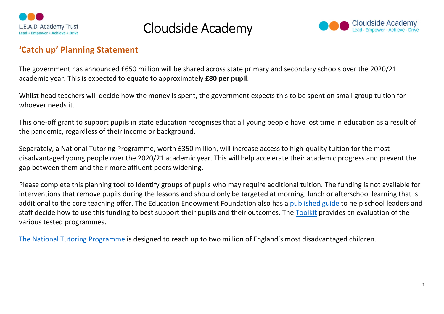



#### 'Catch up' Planning Statement

The government has announced £650 million will be shared across state primary and secondary schools over the 2020/21 academic year. This is expected to equate to approximately **£80 per pupil**.

Whilst head teachers will decide how the money is spent, the government expects this to be spent on small group tuition for whoever needs it.

This one-off grant to support pupils in state education recognises that all young people have lost time in education as a result of the pandemic, regardless of their income or background.

Separately, a National Tutoring Programme, worth £350 million, will increase access to high-quality tuition for the most disadvantaged young people over the 2020/21 academic year. This will help accelerate their academic progress and prevent the gap between them and their more affluent peers widening.

Please complete this planning tool to identify groups of pupils who may require additional tuition. The funding is not available for interventions that remove pupils during the lessons and should only be targeted at morning, lunch or afterschool learning that is additional to the core teaching offer. The Education Endowment Foundation also has a published guide to help school leaders and staff decide how to use this funding to best support their pupils and their outcomes. The Toolkit provides an evaluation of the various tested programmes.

The National Tutoring Programme is designed to reach up to two million of England's most disadvantaged children.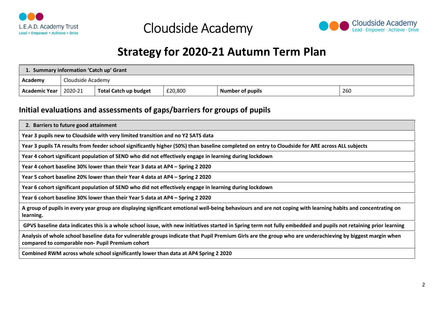



#### Strategy for 2020-21 Autumn Term Plan

| 1. Summary information 'Catch up' Grant |  |                              |         |                         |     |  |  |
|-----------------------------------------|--|------------------------------|---------|-------------------------|-----|--|--|
| . Academy                               |  | Cloudside Academy            |         |                         |     |  |  |
| <b>Academic Year</b>   2020-21          |  | <b>Total Catch up budget</b> | £20,800 | <b>Number of pupils</b> | 260 |  |  |

#### Initial evaluations and assessments of gaps/barriers for groups of pupils

| 2. Barriers to future good attainment                                                                                                                                                                          |
|----------------------------------------------------------------------------------------------------------------------------------------------------------------------------------------------------------------|
| Year 3 pupils new to Cloudside with very limited transition and no Y2 SATS data                                                                                                                                |
| Year 3 pupils TA results from feeder school significantly higher (50%) than baseline completed on entry to Cloudside for ARE across ALL subjects                                                               |
| Year 4 cohort significant population of SEND who did not effectively engage in learning during lockdown                                                                                                        |
| Year 4 cohort baseline 30% lower than their Year 3 data at AP4 – Spring 2 2020                                                                                                                                 |
| Year 5 cohort baseline 20% lower than their Year 4 data at AP4 – Spring 2 2020                                                                                                                                 |
| Year 6 cohort significant population of SEND who did not effectively engage in learning during lockdown                                                                                                        |
| Year 6 cohort baseline 30% lower than their Year 5 data at AP4 – Spring 2 2020                                                                                                                                 |
| A group of pupils in every year group are displaying significant emotional well-being behaviours and are not coping with learning habits and concentrating on<br>learning.                                     |
| GPVS baseline data indicates this is a whole school issue, with new initiatives started in Spring term not fully embedded and pupils not retaining prior learning                                              |
| Analysis of whole school baseline data for vulnerable groups indicate that Pupil Premium Girls are the group who are underachieving by biggest margin when<br>compared to comparable non- Pupil Premium cohort |
| Combined RWM across whole school significantly lower than data at AP4 Spring 2 2020                                                                                                                            |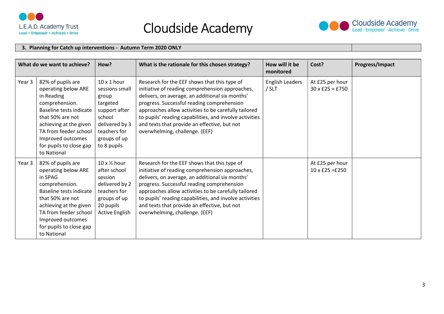



#### 3. Planning for Catch up interventions - Autumn Term 2020 ONLY

|        | What do we want to achieve?                                                                                                                                                                                                               | How?                                                                                                                                                  | What is the rationale for this chosen strategy?                                                                                                                                                                                                                                                                                                                                                       | How will it be<br>monitored     | Cost?                                     | Progress/Impact |
|--------|-------------------------------------------------------------------------------------------------------------------------------------------------------------------------------------------------------------------------------------------|-------------------------------------------------------------------------------------------------------------------------------------------------------|-------------------------------------------------------------------------------------------------------------------------------------------------------------------------------------------------------------------------------------------------------------------------------------------------------------------------------------------------------------------------------------------------------|---------------------------------|-------------------------------------------|-----------------|
| Year 3 | 82% of pupils are<br>operating below ARE<br>in Reading<br>comprehension.<br>Baseline tests indicate<br>that 50% are not<br>achieving at the given<br>TA from feeder school<br>Improved outcomes<br>for pupils to close gap<br>to National | $10 \times 1$ hour<br>sessions small<br>group<br>targeted<br>support after<br>school<br>delivered by 3<br>teachers for<br>groups of up<br>to 8 pupils | Research for the EEF shows that this type of<br>initiative of reading comprehension approaches,<br>delivers, on average, an additional six months'<br>progress. Successful reading comprehension<br>approaches allow activities to be carefully tailored<br>to pupils' reading capabilities, and involve activities<br>and texts that provide an effective, but not<br>overwhelming, challenge. (EEF) | <b>English Leaders</b><br>/ SLT | At £25 per hour<br>$30 \times £25 = £750$ |                 |
| Year 3 | 82% of pupils are<br>operating below ARE<br>in SPAG<br>comprehension.<br>Baseline tests indicate<br>that 50% are not<br>achieving at the given<br>TA from feeder school<br>Improved outcomes<br>for pupils to close gap<br>to National    | $10 \times \frac{1}{2}$ hour<br>after school<br>session<br>delivered by 2<br>teachers for<br>groups of up<br>20 pupils<br><b>Active English</b>       | Research for the EEF shows that this type of<br>initiative of reading comprehension approaches,<br>delivers, on average, an additional six months'<br>progress. Successful reading comprehension<br>approaches allow activities to be carefully tailored<br>to pupils' reading capabilities, and involve activities<br>and texts that provide an effective, but not<br>overwhelming, challenge. (EEF) |                                 | At £25 per hour<br>$10 \times £25 = £250$ |                 |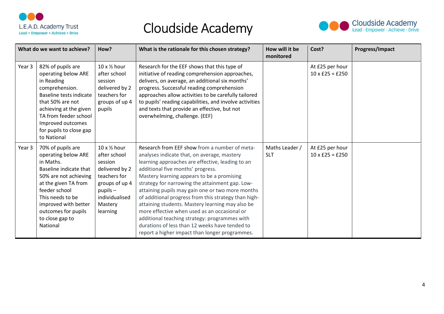



|        | What do we want to achieve?                                                                                                                                                                                                                         | How?                                                                                                                                                   | What is the rationale for this chosen strategy?                                                                                                                                                                                                                                                                                                                                                                                                                                                                                                                                                                                                             | How will it be<br>monitored  | Cost?                                     | Progress/Impact |
|--------|-----------------------------------------------------------------------------------------------------------------------------------------------------------------------------------------------------------------------------------------------------|--------------------------------------------------------------------------------------------------------------------------------------------------------|-------------------------------------------------------------------------------------------------------------------------------------------------------------------------------------------------------------------------------------------------------------------------------------------------------------------------------------------------------------------------------------------------------------------------------------------------------------------------------------------------------------------------------------------------------------------------------------------------------------------------------------------------------------|------------------------------|-------------------------------------------|-----------------|
| Year 3 | 82% of pupils are<br>operating below ARE<br>in Reading<br>comprehension.<br>Baseline tests indicate<br>that 50% are not<br>achieving at the given<br>TA from feeder school<br>Improved outcomes<br>for pupils to close gap<br>to National           | $10 \times \frac{1}{2}$ hour<br>after school<br>session<br>delivered by 2<br>teachers for<br>groups of up 4<br>pupils                                  | Research for the EEF shows that this type of<br>initiative of reading comprehension approaches,<br>delivers, on average, an additional six months'<br>progress. Successful reading comprehension<br>approaches allow activities to be carefully tailored<br>to pupils' reading capabilities, and involve activities<br>and texts that provide an effective, but not<br>overwhelming, challenge. (EEF)                                                                                                                                                                                                                                                       |                              | At £25 per hour<br>$10 \times £25 = £250$ |                 |
| Year 3 | 70% of pupils are<br>operating below ARE<br>in Maths.<br>Baseline indicate that<br>50% are not achieving<br>at the given TA from<br>feeder school<br>This needs to be<br>improved with better<br>outcomes for pupils<br>to close gap to<br>National | 10 x 1/2 hour<br>after school<br>session<br>delivered by 2<br>teachers for<br>groups of up 4<br>$p$ upils $-$<br>individualised<br>Mastery<br>learning | Research from EEF show from a number of meta-<br>analyses indicate that, on average, mastery<br>learning approaches are effective, leading to an<br>additional five months' progress.<br>Mastery learning appears to be a promising<br>strategy for narrowing the attainment gap. Low-<br>attaining pupils may gain one or two more months<br>of additional progress from this strategy than high-<br>attaining students. Mastery learning may also be<br>more effective when used as an occasional or<br>additional teaching strategy: programmes with<br>durations of less than 12 weeks have tended to<br>report a higher impact than longer programmes. | Maths Leader /<br><b>SLT</b> | At £25 per hour<br>$10 \times £25 = £250$ |                 |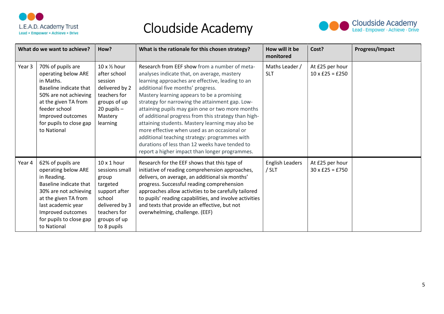



|        | What do we want to achieve?                                                                                                                                                                                             | How?                                                                                                                                                  | What is the rationale for this chosen strategy?                                                                                                                                                                                                                                                                                                                                                                                                                                                                                                                                                                                                             | How will it be<br>monitored     | Cost?                                     | Progress/Impact |
|--------|-------------------------------------------------------------------------------------------------------------------------------------------------------------------------------------------------------------------------|-------------------------------------------------------------------------------------------------------------------------------------------------------|-------------------------------------------------------------------------------------------------------------------------------------------------------------------------------------------------------------------------------------------------------------------------------------------------------------------------------------------------------------------------------------------------------------------------------------------------------------------------------------------------------------------------------------------------------------------------------------------------------------------------------------------------------------|---------------------------------|-------------------------------------------|-----------------|
| Year 3 | 70% of pupils are<br>operating below ARE<br>in Maths.<br>Baseline indicate that<br>50% are not achieving<br>at the given TA from<br>feeder school<br>Improved outcomes<br>for pupils to close gap<br>to National        | 10 x 1/2 hour<br>after school<br>session<br>delivered by 2<br>teachers for<br>groups of up<br>$20$ pupils $-$<br>Mastery<br>learning                  | Research from EEF show from a number of meta-<br>analyses indicate that, on average, mastery<br>learning approaches are effective, leading to an<br>additional five months' progress.<br>Mastery learning appears to be a promising<br>strategy for narrowing the attainment gap. Low-<br>attaining pupils may gain one or two more months<br>of additional progress from this strategy than high-<br>attaining students. Mastery learning may also be<br>more effective when used as an occasional or<br>additional teaching strategy: programmes with<br>durations of less than 12 weeks have tended to<br>report a higher impact than longer programmes. | Maths Leader /<br><b>SLT</b>    | At £25 per hour<br>$10 \times £25 = £250$ |                 |
| Year 4 | 62% of pupils are<br>operating below ARE<br>in Reading.<br>Baseline indicate that<br>30% are not achieving<br>at the given TA from<br>last academic year<br>Improved outcomes<br>for pupils to close gap<br>to National | $10 \times 1$ hour<br>sessions small<br>group<br>targeted<br>support after<br>school<br>delivered by 3<br>teachers for<br>groups of up<br>to 8 pupils | Research for the EEF shows that this type of<br>initiative of reading comprehension approaches,<br>delivers, on average, an additional six months'<br>progress. Successful reading comprehension<br>approaches allow activities to be carefully tailored<br>to pupils' reading capabilities, and involve activities<br>and texts that provide an effective, but not<br>overwhelming, challenge. (EEF)                                                                                                                                                                                                                                                       | <b>English Leaders</b><br>/ SLT | At £25 per hour<br>$30 \times £25 = £750$ |                 |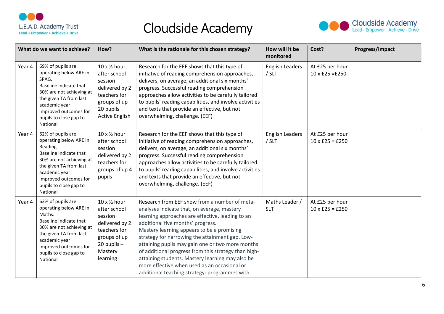



|        | What do we want to achieve?                                                                                                                                                                                             | How?                                                                                                                             | What is the rationale for this chosen strategy?                                                                                                                                                                                                                                                                                                                                                                                                                                                                                                         | How will it be<br>monitored     | Cost?                                     | Progress/Impact |
|--------|-------------------------------------------------------------------------------------------------------------------------------------------------------------------------------------------------------------------------|----------------------------------------------------------------------------------------------------------------------------------|---------------------------------------------------------------------------------------------------------------------------------------------------------------------------------------------------------------------------------------------------------------------------------------------------------------------------------------------------------------------------------------------------------------------------------------------------------------------------------------------------------------------------------------------------------|---------------------------------|-------------------------------------------|-----------------|
| Year 4 | 69% of pupils are<br>operating below ARE in<br>SPAG.<br>Baseline indicate that<br>30% are not achieving at<br>the given TA from last<br>academic year<br>Improved outcomes for<br>pupils to close gap to<br>National    | 10 x 1/2 hour<br>after school<br>session<br>delivered by 2<br>teachers for<br>groups of up<br>20 pupils<br><b>Active English</b> | Research for the EEF shows that this type of<br>initiative of reading comprehension approaches,<br>delivers, on average, an additional six months'<br>progress. Successful reading comprehension<br>approaches allow activities to be carefully tailored<br>to pupils' reading capabilities, and involve activities<br>and texts that provide an effective, but not<br>overwhelming, challenge. (EEF)                                                                                                                                                   | <b>English Leaders</b><br>/ SLT | At £25 per hour<br>$10 \times £25 = £250$ |                 |
| Year 4 | 62% of pupils are<br>operating below ARE in<br>Reading.<br>Baseline indicate that<br>30% are not achieving at<br>the given TA from last<br>academic year<br>Improved outcomes for<br>pupils to close gap to<br>National | 10 x 1/2 hour<br>after school<br>session<br>delivered by 2<br>teachers for<br>groups of up 4<br>pupils                           | Research for the EEF shows that this type of<br>initiative of reading comprehension approaches,<br>delivers, on average, an additional six months'<br>progress. Successful reading comprehension<br>approaches allow activities to be carefully tailored<br>to pupils' reading capabilities, and involve activities<br>and texts that provide an effective, but not<br>overwhelming, challenge. (EEF)                                                                                                                                                   | <b>English Leaders</b><br>/ SLT | At £25 per hour<br>$10 \times £25 = £250$ |                 |
| Year 4 | 63% of pupils are<br>operating below ARE in<br>Maths.<br>Baseline indicate that<br>30% are not achieving at<br>the given TA from last<br>academic year<br>Improved outcomes for<br>pupils to close gap to<br>National   | 10 x 1/2 hour<br>after school<br>session<br>delivered by 2<br>teachers for<br>groups of up<br>20 pupils -<br>Mastery<br>learning | Research from EEF show from a number of meta-<br>analyses indicate that, on average, mastery<br>learning approaches are effective, leading to an<br>additional five months' progress.<br>Mastery learning appears to be a promising<br>strategy for narrowing the attainment gap. Low-<br>attaining pupils may gain one or two more months<br>of additional progress from this strategy than high-<br>attaining students. Mastery learning may also be<br>more effective when used as an occasional or<br>additional teaching strategy: programmes with | Maths Leader /<br><b>SLT</b>    | At £25 per hour<br>$10 \times £25 = £250$ |                 |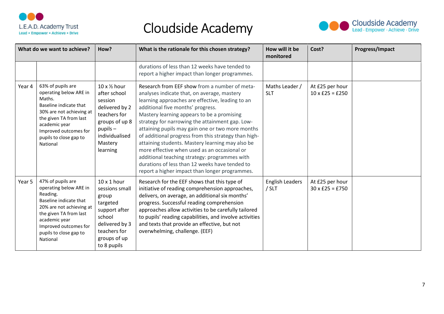



|        | What do we want to achieve?                                                                                                                                                                                             | How?                                                                                                                                                                  | What is the rationale for this chosen strategy?                                                                                                                                                                                                                                                                                                                                                                                                                                                                                                                                                                                                             | How will it be<br>monitored       | Cost?                                     | Progress/Impact |
|--------|-------------------------------------------------------------------------------------------------------------------------------------------------------------------------------------------------------------------------|-----------------------------------------------------------------------------------------------------------------------------------------------------------------------|-------------------------------------------------------------------------------------------------------------------------------------------------------------------------------------------------------------------------------------------------------------------------------------------------------------------------------------------------------------------------------------------------------------------------------------------------------------------------------------------------------------------------------------------------------------------------------------------------------------------------------------------------------------|-----------------------------------|-------------------------------------------|-----------------|
|        |                                                                                                                                                                                                                         |                                                                                                                                                                       | durations of less than 12 weeks have tended to<br>report a higher impact than longer programmes.                                                                                                                                                                                                                                                                                                                                                                                                                                                                                                                                                            |                                   |                                           |                 |
| Year 4 | 63% of pupils are<br>operating below ARE in<br>Maths.<br>Baseline indicate that<br>30% are not achieving at<br>the given TA from last<br>academic year<br>Improved outcomes for<br>pupils to close gap to<br>National   | $10 \times \frac{1}{2}$ hour<br>after school<br>session<br>delivered by 2<br>teachers for<br>groups of up 8<br>$p$ upils $-$<br>individualised<br>Mastery<br>learning | Research from EEF show from a number of meta-<br>analyses indicate that, on average, mastery<br>learning approaches are effective, leading to an<br>additional five months' progress.<br>Mastery learning appears to be a promising<br>strategy for narrowing the attainment gap. Low-<br>attaining pupils may gain one or two more months<br>of additional progress from this strategy than high-<br>attaining students. Mastery learning may also be<br>more effective when used as an occasional or<br>additional teaching strategy: programmes with<br>durations of less than 12 weeks have tended to<br>report a higher impact than longer programmes. | Maths Leader /<br><b>SLT</b>      | At £25 per hour<br>$10 \times £25 = £250$ |                 |
| Year 5 | 47% of pupils are<br>operating below ARE in<br>Reading.<br>Baseline indicate that<br>20% are not achieving at<br>the given TA from last<br>academic year<br>Improved outcomes for<br>pupils to close gap to<br>National | $10 \times 1$ hour<br>sessions small<br>group<br>targeted<br>support after<br>school<br>delivered by 3<br>teachers for<br>groups of up<br>to 8 pupils                 | Research for the EEF shows that this type of<br>initiative of reading comprehension approaches,<br>delivers, on average, an additional six months'<br>progress. Successful reading comprehension<br>approaches allow activities to be carefully tailored<br>to pupils' reading capabilities, and involve activities<br>and texts that provide an effective, but not<br>overwhelming, challenge. (EEF)                                                                                                                                                                                                                                                       | <b>English Leaders</b><br>$/$ SLT | At £25 per hour<br>$30 \times £25 = £750$ |                 |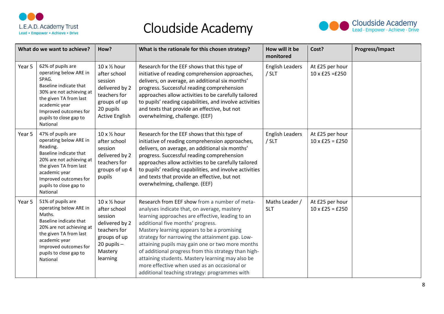



|        | What do we want to achieve?                                                                                                                                                                                             | How?                                                                                                                             | What is the rationale for this chosen strategy?                                                                                                                                                                                                                                                                                                                                                                                                                                                                                                         | How will it be<br>monitored     | Cost?                                     | Progress/Impact |
|--------|-------------------------------------------------------------------------------------------------------------------------------------------------------------------------------------------------------------------------|----------------------------------------------------------------------------------------------------------------------------------|---------------------------------------------------------------------------------------------------------------------------------------------------------------------------------------------------------------------------------------------------------------------------------------------------------------------------------------------------------------------------------------------------------------------------------------------------------------------------------------------------------------------------------------------------------|---------------------------------|-------------------------------------------|-----------------|
| Year 5 | 62% of pupils are<br>operating below ARE in<br>SPAG.<br>Baseline indicate that<br>30% are not achieving at<br>the given TA from last<br>academic year<br>Improved outcomes for<br>pupils to close gap to<br>National    | 10 x 1/2 hour<br>after school<br>session<br>delivered by 2<br>teachers for<br>groups of up<br>20 pupils<br><b>Active English</b> | Research for the EEF shows that this type of<br>initiative of reading comprehension approaches,<br>delivers, on average, an additional six months'<br>progress. Successful reading comprehension<br>approaches allow activities to be carefully tailored<br>to pupils' reading capabilities, and involve activities<br>and texts that provide an effective, but not<br>overwhelming, challenge. (EEF)                                                                                                                                                   | <b>English Leaders</b><br>/ SLT | At £25 per hour<br>$10 \times £25 = £250$ |                 |
| Year 5 | 47% of pupils are<br>operating below ARE in<br>Reading.<br>Baseline indicate that<br>20% are not achieving at<br>the given TA from last<br>academic year<br>Improved outcomes for<br>pupils to close gap to<br>National | 10 x 1/2 hour<br>after school<br>session<br>delivered by 2<br>teachers for<br>groups of up 4<br>pupils                           | Research for the EEF shows that this type of<br>initiative of reading comprehension approaches,<br>delivers, on average, an additional six months'<br>progress. Successful reading comprehension<br>approaches allow activities to be carefully tailored<br>to pupils' reading capabilities, and involve activities<br>and texts that provide an effective, but not<br>overwhelming, challenge. (EEF)                                                                                                                                                   | <b>English Leaders</b><br>/ SLT | At £25 per hour<br>$10 \times £25 = £250$ |                 |
| Year 5 | 51% of pupils are<br>operating below ARE in<br>Maths.<br>Baseline indicate that<br>20% are not achieving at<br>the given TA from last<br>academic year<br>Improved outcomes for<br>pupils to close gap to<br>National   | 10 x 1/2 hour<br>after school<br>session<br>delivered by 2<br>teachers for<br>groups of up<br>20 pupils -<br>Mastery<br>learning | Research from EEF show from a number of meta-<br>analyses indicate that, on average, mastery<br>learning approaches are effective, leading to an<br>additional five months' progress.<br>Mastery learning appears to be a promising<br>strategy for narrowing the attainment gap. Low-<br>attaining pupils may gain one or two more months<br>of additional progress from this strategy than high-<br>attaining students. Mastery learning may also be<br>more effective when used as an occasional or<br>additional teaching strategy: programmes with | Maths Leader /<br><b>SLT</b>    | At £25 per hour<br>$10 \times £25 = £250$ |                 |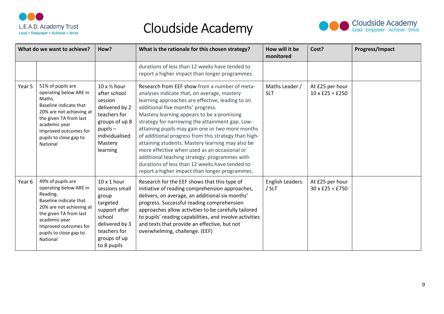



|        | What do we want to achieve?                                                                                                                                                                                             | How?                                                                                                                                                   | What is the rationale for this chosen strategy?                                                                                                                                                                                                                                                                                                                                                                                                                                                                                                                                                                                                             | How will it be<br>monitored       | Cost?                                     | Progress/Impact |
|--------|-------------------------------------------------------------------------------------------------------------------------------------------------------------------------------------------------------------------------|--------------------------------------------------------------------------------------------------------------------------------------------------------|-------------------------------------------------------------------------------------------------------------------------------------------------------------------------------------------------------------------------------------------------------------------------------------------------------------------------------------------------------------------------------------------------------------------------------------------------------------------------------------------------------------------------------------------------------------------------------------------------------------------------------------------------------------|-----------------------------------|-------------------------------------------|-----------------|
|        |                                                                                                                                                                                                                         |                                                                                                                                                        | durations of less than 12 weeks have tended to<br>report a higher impact than longer programmes.                                                                                                                                                                                                                                                                                                                                                                                                                                                                                                                                                            |                                   |                                           |                 |
| Year 5 | 51% of pupils are<br>operating below ARE in<br>Maths.<br>Baseline indicate that<br>20% are not achieving at<br>the given TA from last<br>academic year<br>Improved outcomes for<br>pupils to close gap to<br>National   | 10 x 1/2 hour<br>after school<br>session<br>delivered by 2<br>teachers for<br>groups of up 8<br>$p$ upils $-$<br>individualised<br>Mastery<br>learning | Research from EEF show from a number of meta-<br>analyses indicate that, on average, mastery<br>learning approaches are effective, leading to an<br>additional five months' progress.<br>Mastery learning appears to be a promising<br>strategy for narrowing the attainment gap. Low-<br>attaining pupils may gain one or two more months<br>of additional progress from this strategy than high-<br>attaining students. Mastery learning may also be<br>more effective when used as an occasional or<br>additional teaching strategy: programmes with<br>durations of less than 12 weeks have tended to<br>report a higher impact than longer programmes. | Maths Leader /<br><b>SLT</b>      | At £25 per hour<br>$10 \times £25 = £250$ |                 |
| Year 6 | 49% of pupils are<br>operating below ARE in<br>Reading.<br>Baseline indicate that<br>20% are not achieving at<br>the given TA from last<br>academic year<br>Improved outcomes for<br>pupils to close gap to<br>National | $10 \times 1$ hour<br>sessions small<br>group<br>targeted<br>support after<br>school<br>delivered by 3<br>teachers for<br>groups of up<br>to 8 pupils  | Research for the EEF shows that this type of<br>initiative of reading comprehension approaches,<br>delivers, on average, an additional six months'<br>progress. Successful reading comprehension<br>approaches allow activities to be carefully tailored<br>to pupils' reading capabilities, and involve activities<br>and texts that provide an effective, but not<br>overwhelming, challenge. (EEF)                                                                                                                                                                                                                                                       | <b>English Leaders</b><br>$/$ SLT | At £25 per hour<br>$30 \times £25 = £750$ |                 |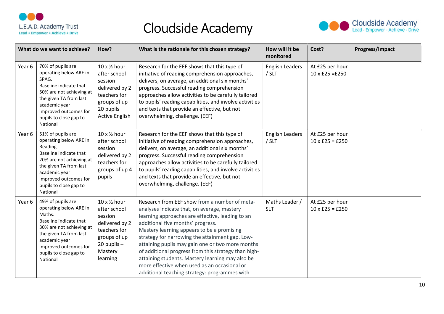



|        | What do we want to achieve?                                                                                                                                                                                             | How?                                                                                                                             | What is the rationale for this chosen strategy?                                                                                                                                                                                                                                                                                                                                                                                                                                                                                                         | How will it be<br>monitored     | Cost?                                     | Progress/Impact |
|--------|-------------------------------------------------------------------------------------------------------------------------------------------------------------------------------------------------------------------------|----------------------------------------------------------------------------------------------------------------------------------|---------------------------------------------------------------------------------------------------------------------------------------------------------------------------------------------------------------------------------------------------------------------------------------------------------------------------------------------------------------------------------------------------------------------------------------------------------------------------------------------------------------------------------------------------------|---------------------------------|-------------------------------------------|-----------------|
| Year 6 | 70% of pupils are<br>operating below ARE in<br>SPAG.<br>Baseline indicate that<br>50% are not achieving at<br>the given TA from last<br>academic year<br>Improved outcomes for<br>pupils to close gap to<br>National    | 10 x 1/2 hour<br>after school<br>session<br>delivered by 2<br>teachers for<br>groups of up<br>20 pupils<br><b>Active English</b> | Research for the EEF shows that this type of<br>initiative of reading comprehension approaches,<br>delivers, on average, an additional six months'<br>progress. Successful reading comprehension<br>approaches allow activities to be carefully tailored<br>to pupils' reading capabilities, and involve activities<br>and texts that provide an effective, but not<br>overwhelming, challenge. (EEF)                                                                                                                                                   | <b>English Leaders</b><br>/ SLT | At £25 per hour<br>$10 \times £25 = £250$ |                 |
| Year 6 | 51% of pupils are<br>operating below ARE in<br>Reading.<br>Baseline indicate that<br>20% are not achieving at<br>the given TA from last<br>academic year<br>Improved outcomes for<br>pupils to close gap to<br>National | 10 x 1/2 hour<br>after school<br>session<br>delivered by 2<br>teachers for<br>groups of up 4<br>pupils                           | Research for the EEF shows that this type of<br>initiative of reading comprehension approaches,<br>delivers, on average, an additional six months'<br>progress. Successful reading comprehension<br>approaches allow activities to be carefully tailored<br>to pupils' reading capabilities, and involve activities<br>and texts that provide an effective, but not<br>overwhelming, challenge. (EEF)                                                                                                                                                   | <b>English Leaders</b><br>/ SLT | At £25 per hour<br>$10 \times £25 = £250$ |                 |
| Year 6 | 49% of pupils are<br>operating below ARE in<br>Maths.<br>Baseline indicate that<br>30% are not achieving at<br>the given TA from last<br>academic year<br>Improved outcomes for<br>pupils to close gap to<br>National   | 10 x 1/2 hour<br>after school<br>session<br>delivered by 2<br>teachers for<br>groups of up<br>20 pupils -<br>Mastery<br>learning | Research from EEF show from a number of meta-<br>analyses indicate that, on average, mastery<br>learning approaches are effective, leading to an<br>additional five months' progress.<br>Mastery learning appears to be a promising<br>strategy for narrowing the attainment gap. Low-<br>attaining pupils may gain one or two more months<br>of additional progress from this strategy than high-<br>attaining students. Mastery learning may also be<br>more effective when used as an occasional or<br>additional teaching strategy: programmes with | Maths Leader /<br><b>SLT</b>    | At £25 per hour<br>$10 \times £25 = £250$ |                 |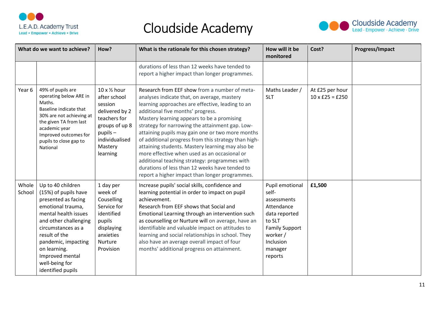



|                 | What do we want to achieve?                                                                                                                                                                                                                                                    | How?                                                                                                                                                   | What is the rationale for this chosen strategy?                                                                                                                                                                                                                                                                                                                                                                                                                                                                                                                                                                                                             | How will it be<br>monitored                                                                                                                              | Cost?                                     | Progress/Impact |
|-----------------|--------------------------------------------------------------------------------------------------------------------------------------------------------------------------------------------------------------------------------------------------------------------------------|--------------------------------------------------------------------------------------------------------------------------------------------------------|-------------------------------------------------------------------------------------------------------------------------------------------------------------------------------------------------------------------------------------------------------------------------------------------------------------------------------------------------------------------------------------------------------------------------------------------------------------------------------------------------------------------------------------------------------------------------------------------------------------------------------------------------------------|----------------------------------------------------------------------------------------------------------------------------------------------------------|-------------------------------------------|-----------------|
|                 |                                                                                                                                                                                                                                                                                |                                                                                                                                                        | durations of less than 12 weeks have tended to<br>report a higher impact than longer programmes.                                                                                                                                                                                                                                                                                                                                                                                                                                                                                                                                                            |                                                                                                                                                          |                                           |                 |
| Year 6          | 49% of pupils are<br>operating below ARE in<br>Maths.<br>Baseline indicate that<br>30% are not achieving at<br>the given TA from last<br>academic year<br>Improved outcomes for<br>pupils to close gap to<br>National                                                          | 10 x 1/2 hour<br>after school<br>session<br>delivered by 2<br>teachers for<br>groups of up 8<br>$p$ upils $-$<br>individualised<br>Mastery<br>learning | Research from EEF show from a number of meta-<br>analyses indicate that, on average, mastery<br>learning approaches are effective, leading to an<br>additional five months' progress.<br>Mastery learning appears to be a promising<br>strategy for narrowing the attainment gap. Low-<br>attaining pupils may gain one or two more months<br>of additional progress from this strategy than high-<br>attaining students. Mastery learning may also be<br>more effective when used as an occasional or<br>additional teaching strategy: programmes with<br>durations of less than 12 weeks have tended to<br>report a higher impact than longer programmes. | Maths Leader /<br><b>SLT</b>                                                                                                                             | At £25 per hour<br>$10 \times £25 = £250$ |                 |
| Whole<br>School | Up to 40 children<br>(15%) of pupils have<br>presented as facing<br>emotional trauma,<br>mental health issues<br>and other challenging<br>circumstances as a<br>result of the<br>pandemic, impacting<br>on learning.<br>Improved mental<br>well-being for<br>identified pupils | 1 day per<br>week of<br>Couselling<br>Service for<br>identified<br>pupils<br>displaying<br>anxieties<br>Nurture<br>Provision                           | Increase pupils' social skills, confidence and<br>learning potential in order to impact on pupil<br>achievement.<br>Research from EEF shows that Social and<br>Emotional Learning through an intervention such<br>as counselling or Nurture will on average, have an<br>identifiable and valuable impact on attitudes to<br>learning and social relationships in school. They<br>also have an average overall impact of four<br>months' additional progress on attainment.                                                                                                                                                                                  | Pupil emotional<br>self-<br>assessments<br>Attendance<br>data reported<br>to SLT<br><b>Family Support</b><br>worker /<br>Inclusion<br>manager<br>reports | £1,500                                    |                 |